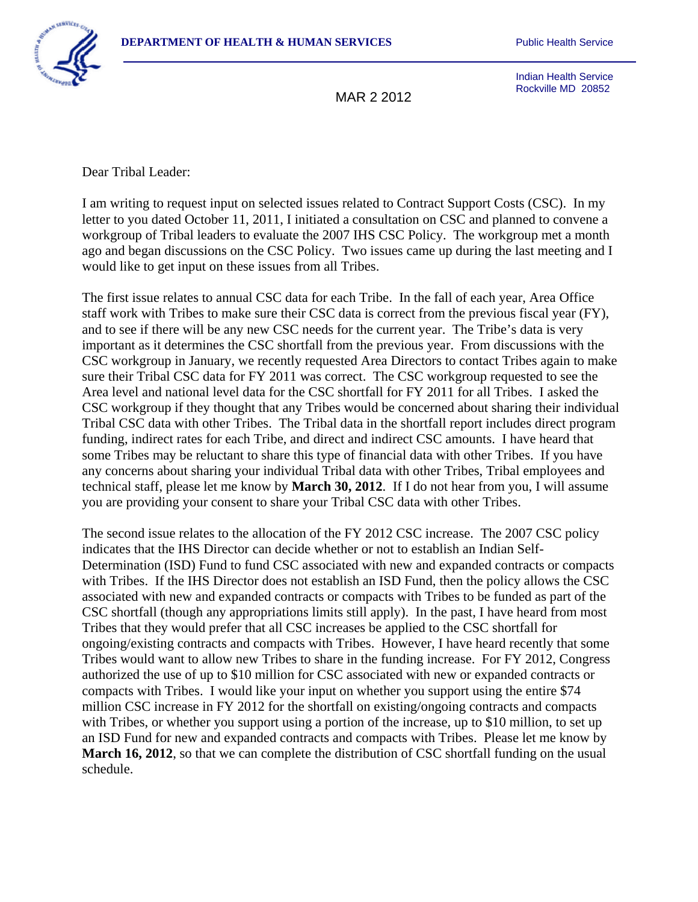

Indian Health Service Rockville MD 20852

Dear Tribal Leader:

I am writing to request input on selected issues related to Contract Support Costs (CSC). In my letter to you dated October 11, 2011, I initiated a consultation on CSC and planned to convene a workgroup of Tribal leaders to evaluate the 2007 IHS CSC Policy. The workgroup met a month ago and began discussions on the CSC Policy. Two issues came up during the last meeting and I would like to get input on these issues from all Tribes.

The first issue relates to annual CSC data for each Tribe. In the fall of each year, Area Office staff work with Tribes to make sure their CSC data is correct from the previous fiscal year (FY), and to see if there will be any new CSC needs for the current year. The Tribe's data is very important as it determines the CSC shortfall from the previous year. From discussions with the CSC workgroup in January, we recently requested Area Directors to contact Tribes again to make sure their Tribal CSC data for FY 2011 was correct. The CSC workgroup requested to see the Area level and national level data for the CSC shortfall for FY 2011 for all Tribes. I asked the CSC workgroup if they thought that any Tribes would be concerned about sharing their individual Tribal CSC data with other Tribes. The Tribal data in the shortfall report includes direct program funding, indirect rates for each Tribe, and direct and indirect CSC amounts. I have heard that some Tribes may be reluctant to share this type of financial data with other Tribes. If you have any concerns about sharing your individual Tribal data with other Tribes, Tribal employees and technical staff, please let me know by **March 30, 2012**. If I do not hear from you, I will assume you are providing your consent to share your Tribal CSC data with other Tribes.

The second issue relates to the allocation of the FY 2012 CSC increase. The 2007 CSC policy indicates that the IHS Director can decide whether or not to establish an Indian Self-Determination (ISD) Fund to fund CSC associated with new and expanded contracts or compacts with Tribes. If the IHS Director does not establish an ISD Fund, then the policy allows the CSC associated with new and expanded contracts or compacts with Tribes to be funded as part of the CSC shortfall (though any appropriations limits still apply). In the past, I have heard from most Tribes that they would prefer that all CSC increases be applied to the CSC shortfall for ongoing/existing contracts and compacts with Tribes. However, I have heard recently that some Tribes would want to allow new Tribes to share in the funding increase. For FY 2012, Congress authorized the use of up to \$10 million for CSC associated with new or expanded contracts or compacts with Tribes. I would like your input on whether you support using the entire \$74 million CSC increase in FY 2012 for the shortfall on existing/ongoing contracts and compacts with Tribes, or whether you support using a portion of the increase, up to \$10 million, to set up an ISD Fund for new and expanded contracts and compacts with Tribes. Please let me know by **March 16, 2012**, so that we can complete the distribution of CSC shortfall funding on the usual schedule.